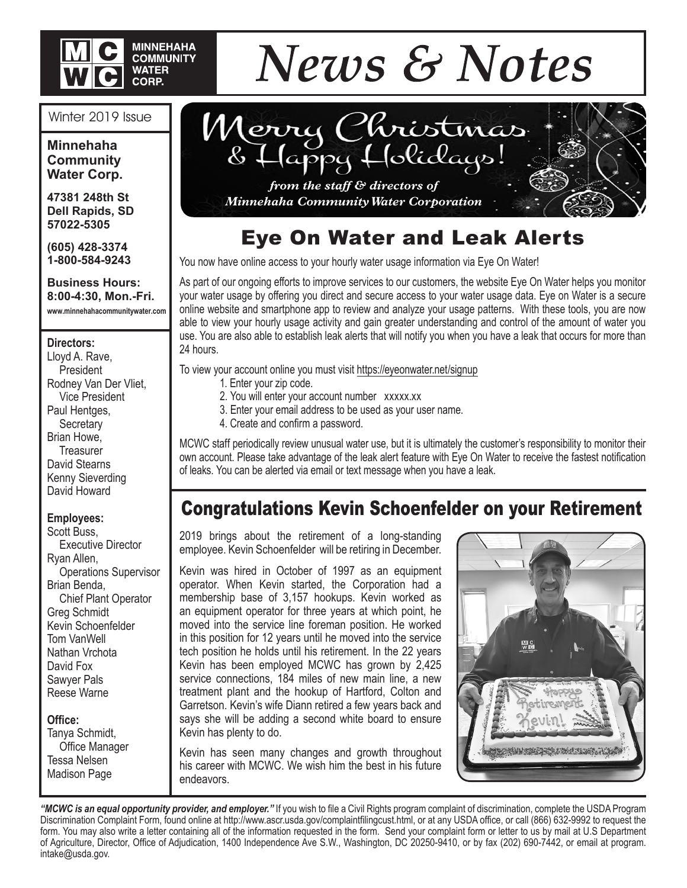

#### Winter 2019 Issue

**Minnehaha Community Water Corp.**

**47381 248th St Dell Rapids, SD 57022-5305**

**(605) 428-3374 1-800-584-9243**

**Business Hours: 8:00-4:30, Mon.-Fri. www.minnehahacommunitywater.com**

#### **Directors:**

Lloyd A. Rave, **President** Rodney Van Der Vliet, Vice President Paul Hentges, **Secretary** Brian Howe, **Treasurer** David Stearns Kenny Sieverding David Howard

#### **Employees:**

Scott Buss, Executive Director Ryan Allen, Operations Supervisor Brian Benda, Chief Plant Operator Greg Schmidt Kevin Schoenfelder Tom VanWell Nathan Vrchota David Fox Sawyer Pals Reese Warne

#### **Office:**

Tanya Schmidt, Office Manager Tessa Nelsen Madison Page



Merry Christmas Typy Holidays!

*from the staff & directors of Minnehaha Community Water Corporation*

### Eye On Water and Leak Alerts

You now have online access to your hourly water usage information via Eye On Water!

As part of our ongoing efforts to improve services to our customers, the website Eye On Water helps you monitor your water usage by offering you direct and secure access to your water usage data. Eye on Water is a secure online website and smartphone app to review and analyze your usage patterns. With these tools, you are now able to view your hourly usage activity and gain greater understanding and control of the amount of water you use. You are also able to establish leak alerts that will notify you when you have a leak that occurs for more than 24 hours.

To view your account online you must visit https://eyeonwater.net/signup

- 1. Enter your zip code.
	- 2. You will enter your account number xxxxx.xx
- 3. Enter your email address to be used as your user name.
- 4. Create and confirm a password.

MCWC staff periodically review unusual water use, but it is ultimately the customer's responsibility to monitor their own account. Please take advantage of the leak alert feature with Eye On Water to receive the fastest notification of leaks. You can be alerted via email or text message when you have a leak.

### Congratulations Kevin Schoenfelder on your Retirement

2019 brings about the retirement of a long-standing employee. Kevin Schoenfelder will be retiring in December.

Kevin was hired in October of 1997 as an equipment operator. When Kevin started, the Corporation had a membership base of 3,157 hookups. Kevin worked as an equipment operator for three years at which point, he moved into the service line foreman position. He worked in this position for 12 years until he moved into the service tech position he holds until his retirement. In the 22 years Kevin has been employed MCWC has grown by 2,425 service connections, 184 miles of new main line, a new treatment plant and the hookup of Hartford, Colton and Garretson. Kevin's wife Diann retired a few years back and says she will be adding a second white board to ensure Kevin has plenty to do.

Kevin has seen many changes and growth throughout his career with MCWC. We wish him the best in his future endeavors.



*"MCWC is an equal opportunity provider, and employer."* If you wish to file a Civil Rights program complaint of discrimination, complete the USDA Program Discrimination Complaint Form, found online at http://www.ascr.usda.gov/complaintfilingcust.html, or at any USDA office, or call (866) 632-9992 to request the form. You may also write a letter containing all of the information requested in the form. Send your complaint form or letter to us by mail at U.S Department of Agriculture, Director, Office of Adjudication, 1400 Independence Ave S.W., Washington, DC 20250-9410, or by fax (202) 690-7442, or email at program. intake@usda.gov.